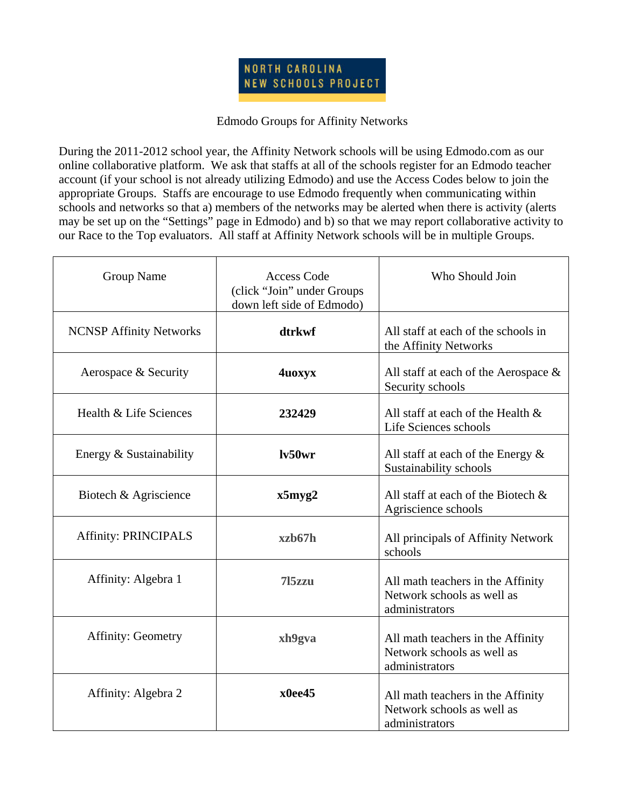

## Edmodo Groups for Affinity Networks

During the 2011-2012 school year, the Affinity Network schools will be using Edmodo.com as our online collaborative platform. We ask that staffs at all of the schools register for an Edmodo teacher account (if your school is not already utilizing Edmodo) and use the Access Codes below to join the appropriate Groups. Staffs are encourage to use Edmodo frequently when communicating within schools and networks so that a) members of the networks may be alerted when there is activity (alerts may be set up on the "Settings" page in Edmodo) and b) so that we may report collaborative activity to our Race to the Top evaluators. All staff at Affinity Network schools will be in multiple Groups.

| Group Name                     | <b>Access Code</b><br>(click "Join" under Groups<br>down left side of Edmodo) | Who Should Join                                                                   |
|--------------------------------|-------------------------------------------------------------------------------|-----------------------------------------------------------------------------------|
| <b>NCNSP Affinity Networks</b> | dtrkwf                                                                        | All staff at each of the schools in<br>the Affinity Networks                      |
| Aerospace & Security           | 4uoxyx                                                                        | All staff at each of the Aerospace $\&$<br>Security schools                       |
| Health & Life Sciences         | 232429                                                                        | All staff at each of the Health &<br>Life Sciences schools                        |
| Energy & Sustainability        | lv50wr                                                                        | All staff at each of the Energy $\&$<br>Sustainability schools                    |
| Biotech & Agriscience          | x5myz2                                                                        | All staff at each of the Biotech $\&$<br>Agriscience schools                      |
| <b>Affinity: PRINCIPALS</b>    | xzh67h                                                                        | All principals of Affinity Network<br>schools                                     |
| Affinity: Algebra 1            | 715zzu                                                                        | All math teachers in the Affinity<br>Network schools as well as<br>administrators |
| <b>Affinity: Geometry</b>      | xh9gva                                                                        | All math teachers in the Affinity<br>Network schools as well as<br>administrators |
| Affinity: Algebra 2            | x0ee45                                                                        | All math teachers in the Affinity<br>Network schools as well as<br>administrators |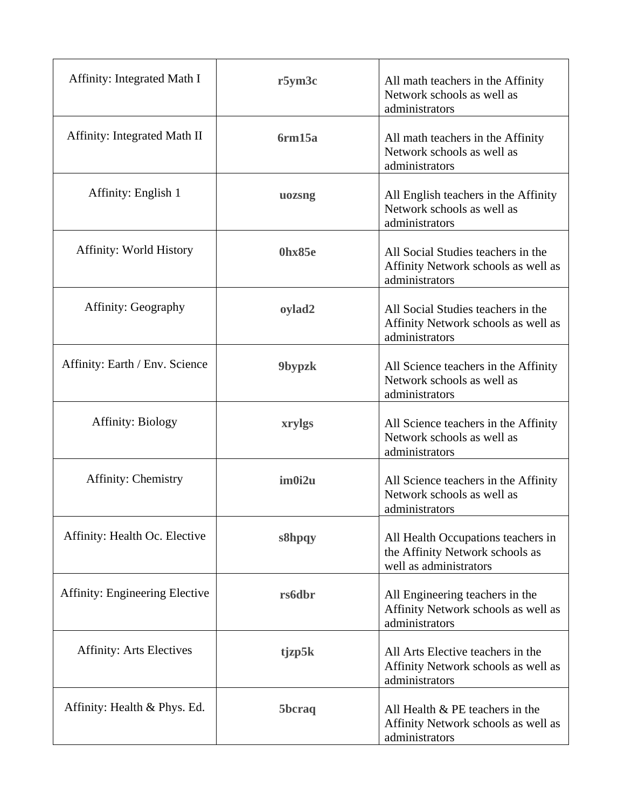| Affinity: Integrated Math I           | r5ym3c        | All math teachers in the Affinity<br>Network schools as well as<br>administrators               |
|---------------------------------------|---------------|-------------------------------------------------------------------------------------------------|
| Affinity: Integrated Math II          | 6rm15a        | All math teachers in the Affinity<br>Network schools as well as<br>administrators               |
| Affinity: English 1                   | uozsng        | All English teachers in the Affinity<br>Network schools as well as<br>administrators            |
| Affinity: World History               | 0hx85e        | All Social Studies teachers in the<br>Affinity Network schools as well as<br>administrators     |
| <b>Affinity: Geography</b>            | oylad2        | All Social Studies teachers in the<br>Affinity Network schools as well as<br>administrators     |
| Affinity: Earth / Env. Science        | 9bypzk        | All Science teachers in the Affinity<br>Network schools as well as<br>administrators            |
| <b>Affinity: Biology</b>              | xrylgs        | All Science teachers in the Affinity<br>Network schools as well as<br>administrators            |
| <b>Affinity: Chemistry</b>            | im0i2u        | All Science teachers in the Affinity<br>Network schools as well as<br>administrators            |
| Affinity: Health Oc. Elective         | s8hpqy        | All Health Occupations teachers in<br>the Affinity Network schools as<br>well as administrators |
| <b>Affinity: Engineering Elective</b> | <b>rs6dbr</b> | All Engineering teachers in the<br>Affinity Network schools as well as<br>administrators        |
| <b>Affinity: Arts Electives</b>       | tjzp5k        | All Arts Elective teachers in the<br>Affinity Network schools as well as<br>administrators      |
| Affinity: Health & Phys. Ed.          | 5bcraq        | All Health $&$ PE teachers in the<br>Affinity Network schools as well as<br>administrators      |